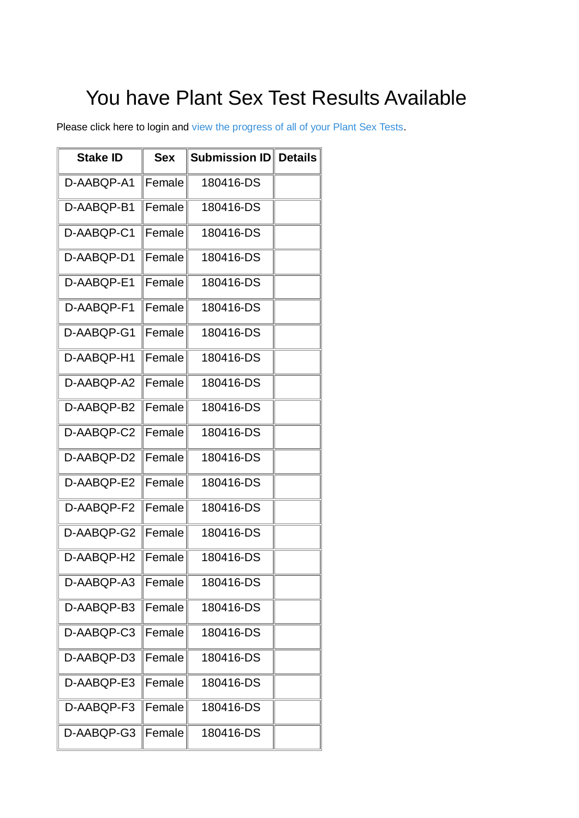## You have Plant Sex Test Results Available

Please click here to login and [view the progress of all of your Plant Sex Tests.](https://nam03.safelinks.protection.outlook.com/?url=http%3A%2F%2Ftesting.phylosbioscience.com%2Fsex-tests&data=02|01||e1f28120490b45a90e0108d5a670cf01|84df9e7fe9f640afb435aaaaaaaaaaaa|1|0|636597925791257879&sdata=9kKPAU96tSfsX%2FGMom%2Bf9Cbb4KnloAO6%2FH2PCBVZPTM%3D&reserved=0)

| <b>Stake ID</b> | <b>Sex</b> | Submission ID | <b>Details</b> |
|-----------------|------------|---------------|----------------|
| D-AABQP-A1      | Female     | 180416-DS     |                |
| D-AABQP-B1      | Female     | 180416-DS     |                |
| D-AABQP-C1      | Female     | 180416-DS     |                |
| D-AABQP-D1      | Female     | 180416-DS     |                |
| D-AABQP-E1      | Female     | 180416-DS     |                |
| D-AABQP-F1      | Female     | 180416-DS     |                |
| D-AABQP-G1      | Female     | 180416-DS     |                |
| D-AABQP-H1      | Female     | 180416-DS     |                |
| D-AABQP-A2      | Female     | 180416-DS     |                |
| D-AABQP-B2      | Female     | 180416-DS     |                |
| D-AABQP-C2      | Female     | 180416-DS     |                |
| D-AABQP-D2      | Female     | 180416-DS     |                |
| D-AABQP-E2      | Female     | 180416-DS     |                |
| D-AABQP-F2      | Female     | 180416-DS     |                |
| D-AABQP-G2      | Female     | 180416-DS     |                |
| D-AABQP-H2      | Female     | 180416-DS     |                |
| D-AABQP-A3      | Female     | 180416-DS     |                |
| D-AABQP-B3      | Female     | 180416-DS     |                |
| D-AABQP-C3      | Female     | 180416-DS     |                |
| D-AABQP-D3      | Female     | 180416-DS     |                |
| D-AABQP-E3      | Female     | 180416-DS     |                |
| D-AABQP-F3      | Female     | 180416-DS     |                |
| D-AABQP-G3      | Female     | 180416-DS     |                |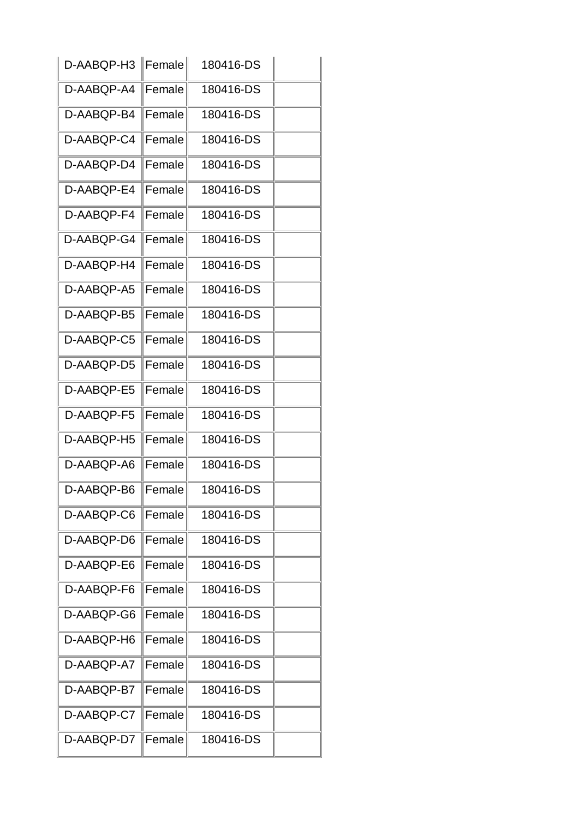| D-AABQP-H3   Female |        | 180416-DS |  |
|---------------------|--------|-----------|--|
| D-AABQP-A4          | Female | 180416-DS |  |
| D-AABQP-B4          | Female | 180416-DS |  |
| D-AABQP-C4          | Female | 180416-DS |  |
| D-AABQP-D4          | Female | 180416-DS |  |
| D-AABQP-E4          | Female | 180416-DS |  |
| D-AABQP-F4          | Female | 180416-DS |  |
| D-AABQP-G4          | Female | 180416-DS |  |
| D-AABQP-H4          | Female | 180416-DS |  |
| D-AABQP-A5          | Female | 180416-DS |  |
| D-AABQP-B5          | Female | 180416-DS |  |
| D-AABQP-C5          | Female | 180416-DS |  |
| D-AABQP-D5          | Female | 180416-DS |  |
| D-AABQP-E5          | Female | 180416-DS |  |
| D-AABQP-F5          | Female | 180416-DS |  |
| D-AABQP-H5          | Female | 180416-DS |  |
| D-AABQP-A6          | Female | 180416-DS |  |
| D-AABQP-B6          | Female | 180416-DS |  |
| D-AABQP-C6          | Female | 180416-DS |  |
| D-AABQP-D6          | Female | 180416-DS |  |
| D-AABQP-E6          | Female | 180416-DS |  |
| D-AABQP-F6          | Female | 180416-DS |  |
| D-AABQP-G6          | Female | 180416-DS |  |
| D-AABQP-H6          | Female | 180416-DS |  |
| D-AABQP-A7          | Female | 180416-DS |  |
| D-AABQP-B7          | Female | 180416-DS |  |
| D-AABQP-C7          | Female | 180416-DS |  |
| D-AABQP-D7          | Female | 180416-DS |  |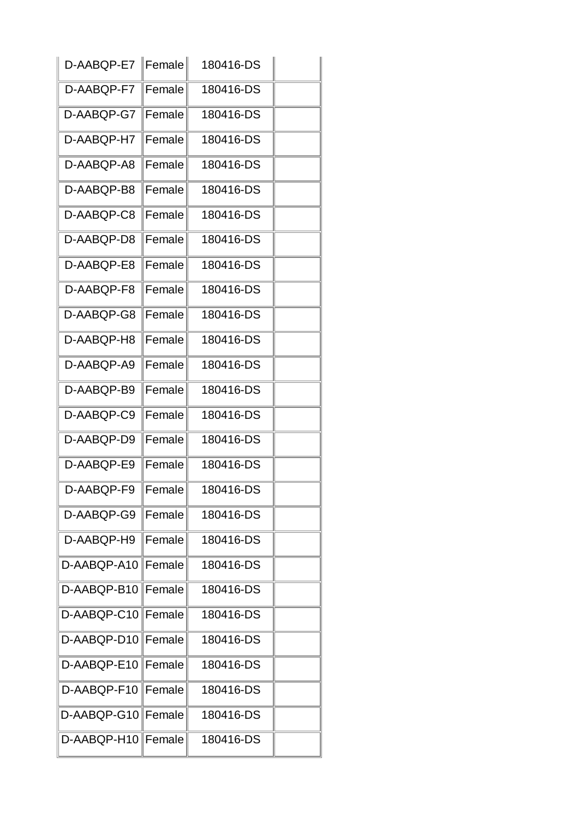| D-AABQP-E7   Female |         | 180416-DS |  |
|---------------------|---------|-----------|--|
| D-AABQP-F7          | Female  | 180416-DS |  |
| D-AABQP-G7          | Female  | 180416-DS |  |
| D-AABQP-H7          | Female  | 180416-DS |  |
| D-AABQP-A8          | Female  | 180416-DS |  |
| D-AABQP-B8          | Female  | 180416-DS |  |
| D-AABQP-C8          | Female  | 180416-DS |  |
| D-AABQP-D8          | Female  | 180416-DS |  |
| D-AABQP-E8          | Female  | 180416-DS |  |
| D-AABQP-F8          | Female  | 180416-DS |  |
| D-AABQP-G8          | Female  | 180416-DS |  |
| D-AABQP-H8          | Female  | 180416-DS |  |
| D-AABQP-A9          | Female  | 180416-DS |  |
| D-AABQP-B9          | Female  | 180416-DS |  |
| D-AABQP-C9          | Female  | 180416-DS |  |
| D-AABQP-D9          | Female  | 180416-DS |  |
| D-AABQP-E9          | Female  | 180416-DS |  |
| D-AABQP-F9          | Female  | 180416-DS |  |
| D-AABQP-G9          | Female  | 180416-DS |  |
| D-AABQP-H9          | Female  | 180416-DS |  |
| D-AABQP-A10         | ∥Female | 180416-DS |  |
| D-AABQP-B10 Female  |         | 180416-DS |  |
| D-AABQP-C10 Female  |         | 180416-DS |  |
| D-AABQP-D10 Female  |         | 180416-DS |  |
| D-AABQP-E10 Female  |         | 180416-DS |  |
| D-AABQP-F10 Female  |         | 180416-DS |  |
| D-AABQP-G10 Female  |         | 180416-DS |  |
| D-AABQP-H10 Female  |         | 180416-DS |  |